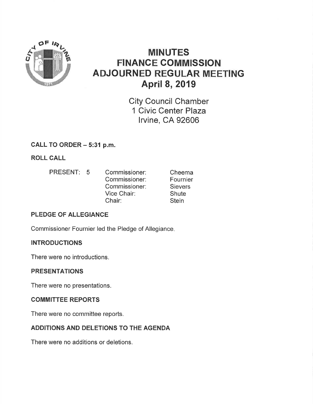

# **MINUTES FINANCE COMMISSION ADJOURNED REGULAR MEETING April 8, 2019**

**City Council Chamber** 1 Civic Center Plaza **Irvine, CA 92606** 

# CALL TO ORDER - 5:31 p.m.

**ROLL CALL** 

PRESENT: 5 Commissioner: Cheema Commissioner: Fournier Commissioner: **Sievers** Vice Chair: **Shute** Chair: **Stein** 

# **PLEDGE OF ALLEGIANCE**

Commissioner Fournier led the Pledge of Allegiance.

# **INTRODUCTIONS**

There were no introductions.

# **PRESENTATIONS**

There were no presentations.

### **COMMITTEE REPORTS**

There were no committee reports.

# ADDITIONS AND DELETIONS TO THE AGENDA

There were no additions or deletions.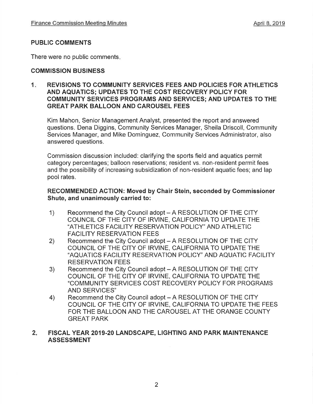### PUBLIC COMMENTS

There were no public comments

### COMMISSION BUSINESS

### 1. REVISIONS TO COMMUNITY SERVICES FEES AND POLICIES FOR ATHLETICS AND AQUATICS; UPDATES TO THE COST RECOVERY POLICY FOR COMMUNITY SERVICES PROGRAMS AND SERVICES; AND UPDATES TO THE GREAT PARK BALLOON AND CAROUSEL FEES

Kim Mahon, Senior Management Analyst, presented the report and answered questions. Dena Diggins, Community Services Manager, Sheila Driscoll, Community Services Manager, and Mike Dominguez, Community Services Administrator, also answered questions.

Commission discussion included: clarifying the sports field and aquatics permit category percentages; balloon reservations; resident vs. non-resident permit fees and the possibility of increasing subsidization of non-resident aquatic fees; and lap pool rates.

### RECOMMENDED AGTION; Moved by Chair Stein, seconded by Commissioner Shute, and unanimously carried to:

- 1) Recommend the City Council adopt – A RESOLUTION OF THE CITY<br>COUNCIL OF THE CITY OF IRVINE. CALIFORNIA TO UPDATE THE "ATHLETICS FACILITY RESERVATION POLICY" AND ATHLETIC **FACILITY RESERVATION FEES**
- 2) Recommend the City Council adopt - A RESOLUTION OF THE CITY COUNCIL OF THE CITY OF IRVINE, CALIFORNIA TO UPDATE THE "AQUATICS FACILITY RESERVATION POLICY" AND AQUATIC FACILITY RESERVATION FEES
- 3) Recommend the City Council adopt – A RESOLUTION OF THE CITY<br>COUNCIL OF THE CITY OF IRVINE, CALIFORNIA TO UPDATE THE "COMMUNITY SERVICES COST RECOVERY POLICY FOR PROGRAMS AND SERVICES''
- 4) Recommend the City Council adopt - A RESOLUTION OF THE CITY COUNCIL OF THE CITY OF IRVINE, CALIFORNIA TO UPDATE THE FEES FOR THE BALLOON AND THE CAROUSEL AT THE ORANGE COUNTY GREAT PARK

### 2. FISCAL YEAR 2019-20 LANDSCAPE, LIGHTING AND PARK MAINTENANCE ASSESSMENT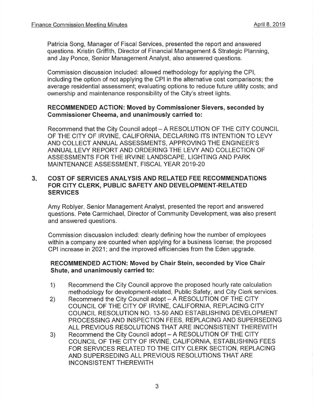Patricia Song, Manager of Fiscal Services, presented the report and answered questions. Kristin Griffith, Director of Financial Management & Strategic Planning, and Jay Ponce, Senior Management Analyst, also answered questions,

Commission discussion included: allowed methodology for applying the CPl, including the option of not applying the CPI in the alternative cost comparisons; the average residential assessment; evaluating options to reduce future utility costs; and ownership and maintenance responsibility of the City's street lights.

### RECOMMENDED AGTION: Moved by Commissioner Sievers, seconded by Gommissioner Cheema, and unanimously carried to:

Recommend that the City Council adopt - A RESOLUTION OF THE CITY COUNCIL OF THE CITY OF IRVINE, CALIFORNIA, DECLARING ITS INTENTION TO LEVY AND COLLECT ANNUAL ASSESSMENTS, APPROVING THE ENGINEER'S ANNUAL LEVY REPORT AND ORDERING THE LEVY AND COLLECTION OF ASSESSMENTS FOR THE ¡RVINE LANDSCAPE, LIGHTING AND PARK MAINTENANCE ASSESSMENT, FISCAL YEAR 2019-20

#### $3.$ COST OF SERVICES ANALYSIS AND RELATED FEE RECOMMENDATIONS FOR CITY CLERK, PUBLIC SAFETY AND DEVELOPMENT-RELATED **SERVICES**

Amy Roblyer, Senior Management Analyst, presented the report and answered questions. Pete Carmichael, Director of Community Development, was also present and answered questions.

Commission discussion included: clearly defining how the number of employees within a company are counted when applying for a business license; the proposed CPI increase in 2021; and the improved efficiencies from the Eden upgrade,

### RECOMMENDED AGTION: Moved by Chair Stein, seconded by Vice Ghair Shute, and unanimously carried to:

- 1) Recommend the City Council approve the proposed hourly rate calculation methodology for development-related, Public Safety, and City Clerk services.
- Recommend the City Council adopt A RESOLUTION OF THE CITY COUNCIL OF THE CITY OF IRVINE, CALIFORNIA, REPLACING CITY COUNCIL RESOLUTION NO. 13-50 AND ESTABLISHING DEVELOPMENT PROCESSING AND INSPECTION FEES, REPLACING AND SUPERSEDING ALL PREVIOUS RESOLUTIONS THAT ARE INCONSISTENT THEREWITH 2)
- Recommend the City Council adopt A RESOLUTION OF THE CITY COUNC]L OF THE CITY OF IRVINE, CALIFORNIA, ESTABLISHING FEES FOR SERVICES RELATED TO THE CITY CLERK SECTION, REPLACING AND SUPERSEDING ALL PREVIOUS RESOLUTIONS THAT ARE INCONSISTENT THEREWITH 3)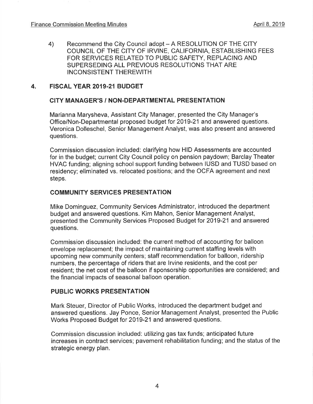Recommend the City Council adopt - A RESOLUTION OF THE CITY COUNCIL OF THE CITY OF IRVINE, CALIFORNIA, ESTABLISHING FEES FOR SERVICES RELATED TO PUBLIC SAFETY, REPLACING AND SUPERSEDING ALL PREVIOUS RESOLUTIONS THAT ARE <sup>I</sup>NCONSISTENT THEREWITH 4)

### 4. FISGAL YEAR 2019.21 BUDGET

### CITY MANAGER'S / NON-DEPARTMENTAL PRESENTATION

Marianna Marysheva, Assistant City Manager, presented the City Manager's Office/Non-Departmental proposed budget for 2019-21 and answered questions. Veronica Dolleschel, Senior Management Analyst, was also present and answered questions.

Commission discussion included: clarifying how HID Assessments are accounted for in the budget; current City Council policy on pension paydown; Barclay Theater HVAC funding; aligning school support funding between IUSD and TUSD based on residency; eliminated vs. relocated positions; and the OCFA agreement and next steps.

### COMMUNITY SERVICES PRESENTATION

Mike Dominguez, Community Services Administrator, introduced the department budget and answered questions. Kim Mahon, Senior Management Analyst, presented the Community Services Proposed Budget for 2019-21 and answered questions.

Commission discussion included: the current method of accounting for balloon envelope replacement; the impact of maintaining current staffing levels with upcoming new community centers; staff recommendation for balloon, ridership numbers, the percentage of riders that are lrvine residents, and the cost per resident; the net cost of the balloon if sponsorship opportunities are considered; and the financial impacts of seasonal balloon operation.

### PUBLIC WORKS PRESENTATION

Mark Steuer, Director of Public Works, introduced the department budget and answered questions. Jay Ponce, Senior Management Analyst, presented the Public Works Proposed Budget for 2019-21 and answered questions.

Commission discussion included: utilizing gas tax funds; anticipated future increases in contract services; pavement rehabilitation funding; and the status of the strategic energy plan.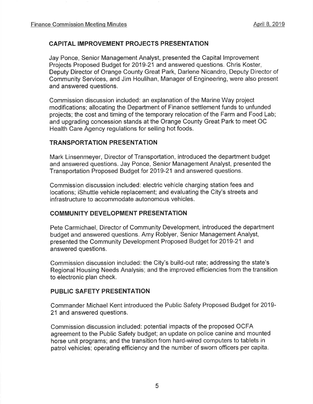# CAPITAL IMPROVEMENT PROJECTS PRESENTATION

Jay Ponce, Senior Management Analyst, presented the Capital lmprovement Projects Proposed Budget for 2019-21 and answered questions. Chris Koster, Deputy Director of Orange County Great Park, Darlene Nicandro, Deputy Director of Community Services, and Jim Houlihan, Manager of Engineering, were also present and answered questions.

Commission discussion included: an explanation of the Marine Way project modifications; allocating the Department of Finance settlement funds to unfunded projects; the cost and timing of the temporary relocation of the Farm and Food Lab; and upgrading concession stands at the Orange County Great Park to meet OC Health Care Agency regulations for selling hot foods.

### TRANSPORTATION PRESENTATION

Mark Linsenmeyer, Director of Transportation, introduced the department budget and answered questions. Jay Ponce, Senior Management Analyst, presented the Transportation Proposed Budget for 2019-21 and answered questions.

Commission discussion included: electric vehicle charging station fees and locations; iShuttle vehicle replacement; and evaluating the City's streets and infrastructure to accommodate autonomous vehicles.

# GOMMUNITY DEVELOPMENT PRESENTATION

Pete Carmichael, Director of Community Development, introduced the department budget and answered questions. Amy Roblyer, Senior Management Analyst, presented the Community Development Proposed Budget for 2019-21 and answered questions.

Commission discussion included: the City's build-out rate; addressing the state's Regional Housing Needs Analysis; and the improved efficiencies from the transition to electronic plan check.

### PUBLIC SAFETY PRESENTATION

Commander Michael Kent introduced the Public Safety Proposed Budget for 2019- 21 and answered questions.

Commission discussion included: potential impacts of the proposed OCFA agreement to the Public Safety budget; an update on police canine and mounted horse unit programs; and the transition from hard-wired computers to tablets in patrol vehicles; operating efficiency and the number of sworn officers per capita.